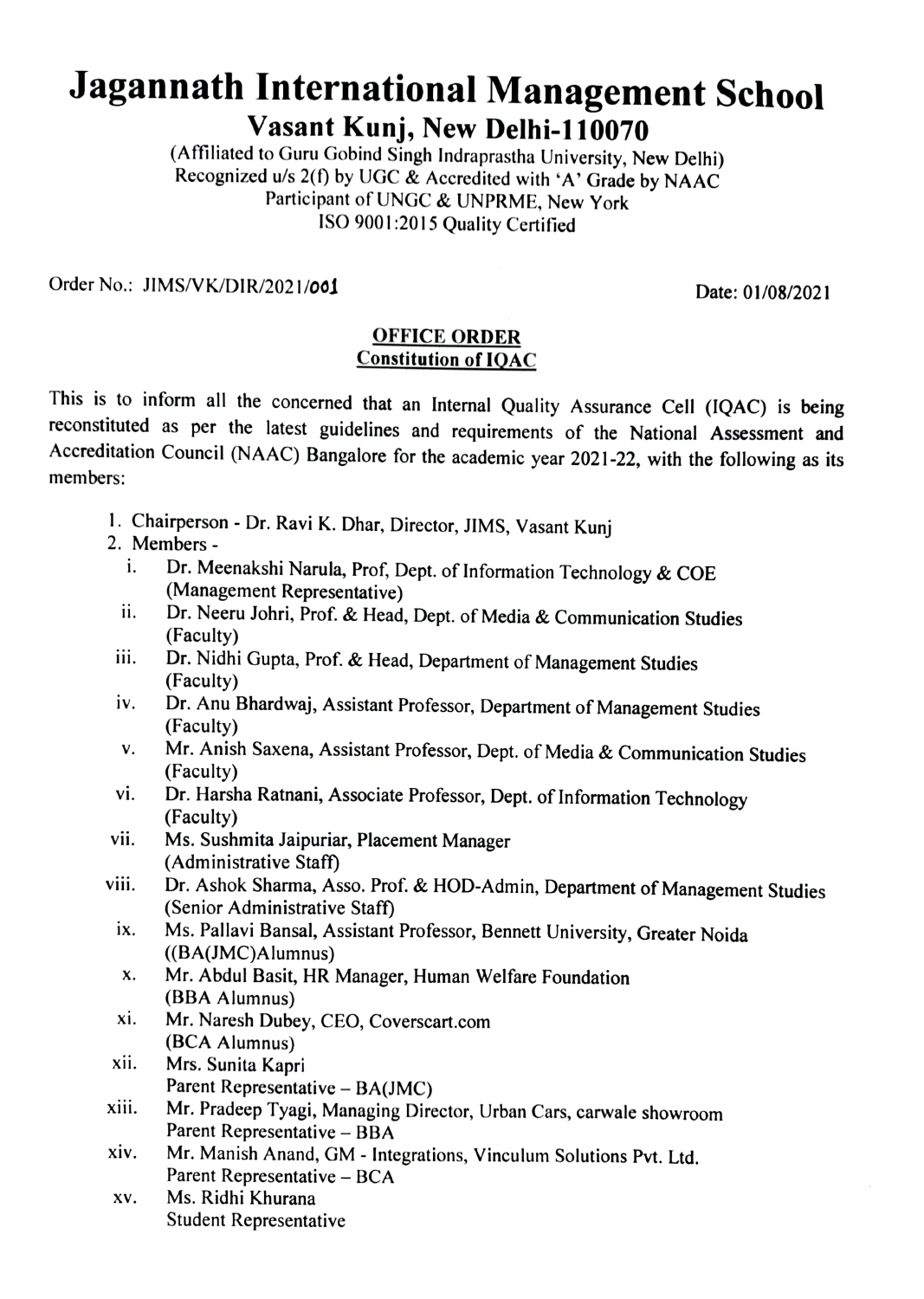## Jagannath International Management School Vasant Kunj, New Delhi-110070<br>(Affiliated to Guru Gobind Singh Indraprastha University, New Delhi)

Recognized u/s 2(f) by UGC  $\&$  Accredited with 'A' Grade by NAAC Participant of UNGC & UNPRME, New York IsO 9001:2015 Quality Certified

Order No.: JIMS/VK/DIR/2021/001 2008/2021

## OFFICE ORDER Constitution of 1OAC

This is to inform all the concerned that an Internal Quality Assurance Cell (1QAC) is being reconstituted as per the latest guidelines and requirements of the National Assessment and Accreditation Council (NAAC) Bangalore for the academic year 2021-22, with the following as its members:

- 1. Chairperson Dr. Ravi K. Dhar, Director, JIMS, Vasant Kunj 2. Members -
- - i. Dr. Meenakshi Narula, Prof, Dept. of Information Technology & COE
	- (Management Representative)<br>ii. Dr. Neeru Johri, Prof. & Head, Dept. of Media & Communication Studies (Faculty)
- Dr. Nidhi Gupta, Prof. & Head, Department of Management Studies (Faculty) ii.
- iv. Dr. Anu Bhardwaj, Assistant Professor, Department of Management Studies (Faculty)
- N. Mr. Anish Saxena, Assistant Professor, Dept. of Media & Communication Studies (Faculty)
- vi. Dr. Harsha Ratnani, Associate Professor, Dept. of Information Technology (Faculty)
- Ms. Sushmita Jaipuriar, Placement Manager (Administrative Staff) vii.
- Dr. Ashok Sharma, Asso. Prof. & HOD-Admin, Department of Management Studies (Senior Administrative Staff) viii.
	- Ms. Pallavi Bansal, Assistant Professor, Bennett University, Greater Noida (BA(JMC)Alumnus) ix.
	- Mr. Abdul Basit, HR Manager, Human Welfare Foundation (BBA Alumnus) x.
	- Mr. Naresh Dubey, CEO, Coverscart.com (BCA Alumnus) xi.
- Mrs. Sunita Kapri xii. Parent Representative – BA(JMC)
- Mr. Pradeep Tyagi, Managing Director, Urban Cars, carwale showroom Parent Representative - BBA xiii.
- Xiv. Mr. Manish Anand, GM Integrations, Vinculum Solutions Pvt. Ltd. Parent Representative - BCA
- XV. Ms. Ridhi Khurana Student Representative